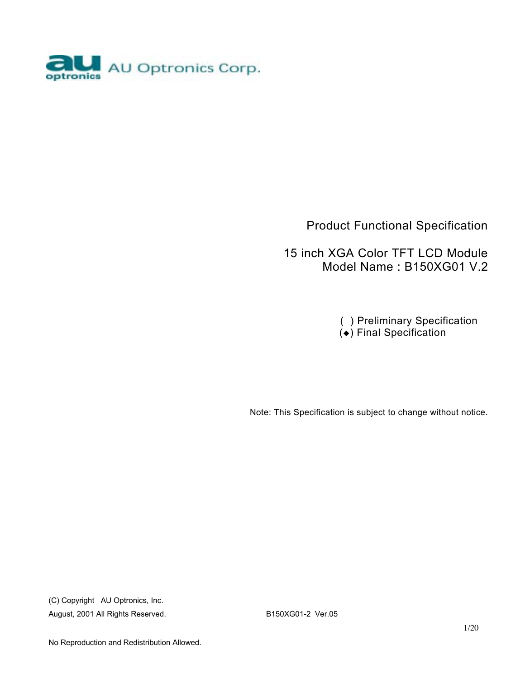

### Product Functional Specification

 15 inch XGA Color TFT LCD Module Model Name : B150XG01 V.2

> ( ) Preliminary Specification  $\overrightarrow{(*)}$  Final Specification

Note: This Specification is subject to change without notice.

(C) Copyright AU Optronics, Inc. August, 2001 All Rights Reserved. B150XG01-2 Ver.05

No Reproduction and Redistribution Allowed.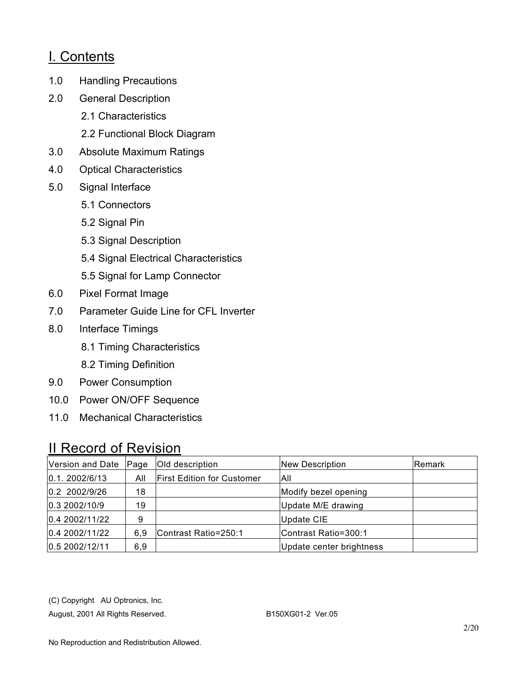## I. Contents

- 1.0 Handling Precautions
- 2.0 General Description
	- 2.1 Characteristics
	- 2.2 Functional Block Diagram
- 3.0 Absolute Maximum Ratings
- 4.0 Optical Characteristics
- 5.0 Signal Interface
	- 5.1 Connectors
	- 5.2 Signal Pin
	- 5.3 Signal Description
	- 5.4 Signal Electrical Characteristics
	- 5.5 Signal for Lamp Connector
- 6.0 Pixel Format Image
- 7.0 Parameter Guide Line for CFL Inverter
- 8.0 Interface Timings
	- 8.1 Timing Characteristics
	- 8.2 Timing Definition
- 9.0 Power Consumption
- 10.0 Power ON/OFF Sequence
- 11.0 Mechanical Characteristics

# II Record of Revision

| Version and Date | $Paq$ e | Old description                   | <b>New Description</b>   | Remark |
|------------------|---------|-----------------------------------|--------------------------|--------|
| 0.1.2002/6/13    | All     | <b>First Edition for Customer</b> | All                      |        |
| 0.2 2002/9/26    | 18      |                                   | Modify bezel opening     |        |
| 0.3 2002/10/9    | 19      |                                   | Update M/E drawing       |        |
| 0.4 2002/11/22   | 9       |                                   | <b>Update CIE</b>        |        |
| 0.4 2002/11/22   | 6.9     | Contrast Ratio=250:1              | Contrast Ratio=300:1     |        |
| 0.5 2002/12/11   | 6,9     |                                   | Update center brightness |        |

(C) Copyright AU Optronics, Inc.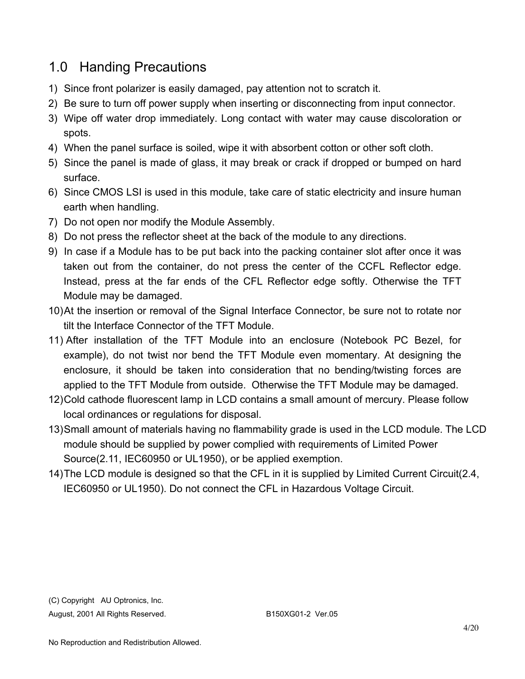## 1.0 Handing Precautions

- 1) Since front polarizer is easily damaged, pay attention not to scratch it.
- 2) Be sure to turn off power supply when inserting or disconnecting from input connector.
- 3) Wipe off water drop immediately. Long contact with water may cause discoloration or spots.
- 4) When the panel surface is soiled, wipe it with absorbent cotton or other soft cloth.
- 5) Since the panel is made of glass, it may break or crack if dropped or bumped on hard surface.
- 6) Since CMOS LSI is used in this module, take care of static electricity and insure human earth when handling.
- 7) Do not open nor modify the Module Assembly.
- 8) Do not press the reflector sheet at the back of the module to any directions.
- 9) In case if a Module has to be put back into the packing container slot after once it was taken out from the container, do not press the center of the CCFL Reflector edge. Instead, press at the far ends of the CFL Reflector edge softly. Otherwise the TFT Module may be damaged.
- 10) At the insertion or removal of the Signal Interface Connector, be sure not to rotate nor tilt the Interface Connector of the TFT Module.
- 11) After installation of the TFT Module into an enclosure (Notebook PC Bezel, for example), do not twist nor bend the TFT Module even momentary. At designing the enclosure, it should be taken into consideration that no bending/twisting forces are applied to the TFT Module from outside. Otherwise the TFT Module may be damaged.
- 12) Cold cathode fluorescent lamp in LCD contains a small amount of mercury. Please follow local ordinances or regulations for disposal.
- 13) Small amount of materials having no flammability grade is used in the LCD module. The LCD module should be supplied by power complied with requirements of Limited Power Source(2.11, IEC60950 or UL1950), or be applied exemption.
- 14) The LCD module is designed so that the CFL in it is supplied by Limited Current Circuit(2.4, IEC60950 or UL1950). Do not connect the CFL in Hazardous Voltage Circuit.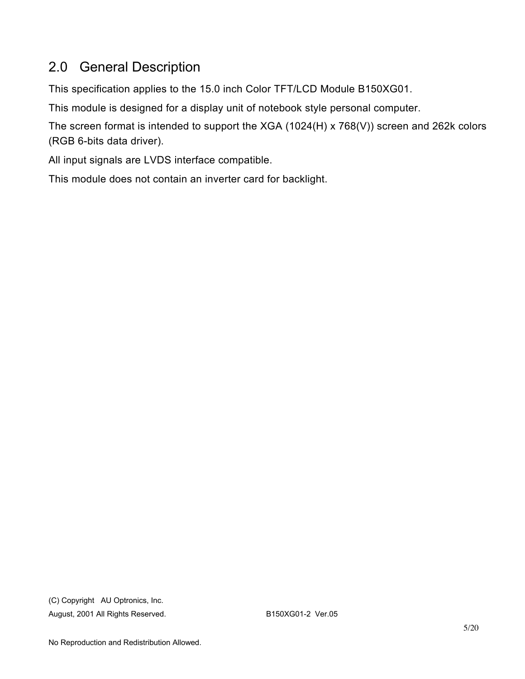# 2.0 General Description

This specification applies to the 15.0 inch Color TFT/LCD Module B150XG01.

This module is designed for a display unit of notebook style personal computer.

The screen format is intended to support the XGA (1024(H) x 768(V)) screen and 262k colors (RGB 6-bits data driver).

All input signals are LVDS interface compatible.

This module does not contain an inverter card for backlight.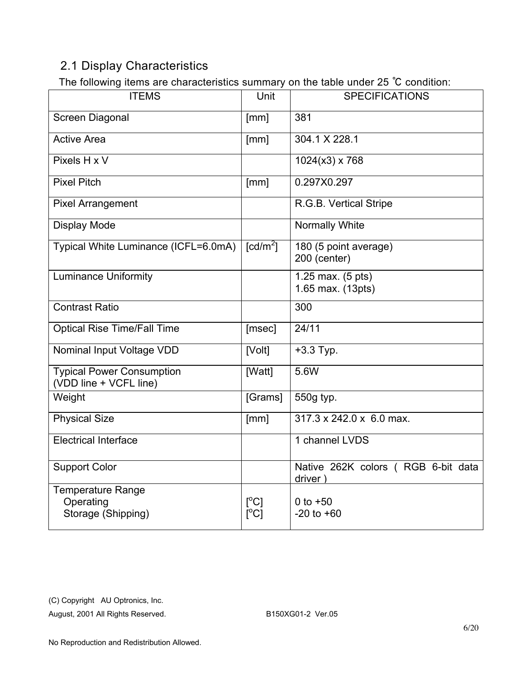### 2.1 Display Characteristics

The following items are characteristics summary on the table under 25 ℃ condition:

| <b>ITEMS</b>                                                | . <b>.</b><br>Unit                             | <b>SPECIFICATIONS</b>                         |
|-------------------------------------------------------------|------------------------------------------------|-----------------------------------------------|
| Screen Diagonal                                             | [mm]                                           | 381                                           |
| <b>Active Area</b>                                          | [mm]                                           | 304.1 X 228.1                                 |
| Pixels H x V                                                |                                                | $1024(x3)$ x 768                              |
| <b>Pixel Pitch</b>                                          | [mm]                                           | 0.297X0.297                                   |
| <b>Pixel Arrangement</b>                                    |                                                | R.G.B. Vertical Stripe                        |
| <b>Display Mode</b>                                         |                                                | Normally White                                |
| Typical White Luminance (ICFL=6.0mA)                        | $\lceil cd/m^2 \rceil$                         | 180 (5 point average)<br>200 (center)         |
| <b>Luminance Uniformity</b>                                 |                                                | 1.25 max. (5 pts)<br>1.65 max. (13pts)        |
| <b>Contrast Ratio</b>                                       |                                                | 300                                           |
| <b>Optical Rise Time/Fall Time</b>                          | [msec]                                         | 24/11                                         |
| Nominal Input Voltage VDD                                   | [Volt]                                         | $+3.3$ Typ.                                   |
| <b>Typical Power Consumption</b><br>(VDD line + VCFL line)  | [Watt]                                         | 5.6W                                          |
| Weight                                                      | [Grams]                                        | 550g typ.                                     |
| <b>Physical Size</b>                                        | [mm]                                           | 317.3 x 242.0 x 6.0 max.                      |
| <b>Electrical Interface</b>                                 |                                                | 1 channel LVDS                                |
| <b>Support Color</b>                                        |                                                | Native 262K colors (RGB 6-bit data<br>driver) |
| <b>Temperature Range</b><br>Operating<br>Storage (Shipping) | $\mathsf{I}^{\circ}$ Cl<br>$\Gamma^{\circ}$ C1 | 0 to $+50$<br>$-20$ to $+60$                  |

(C) Copyright AU Optronics, Inc.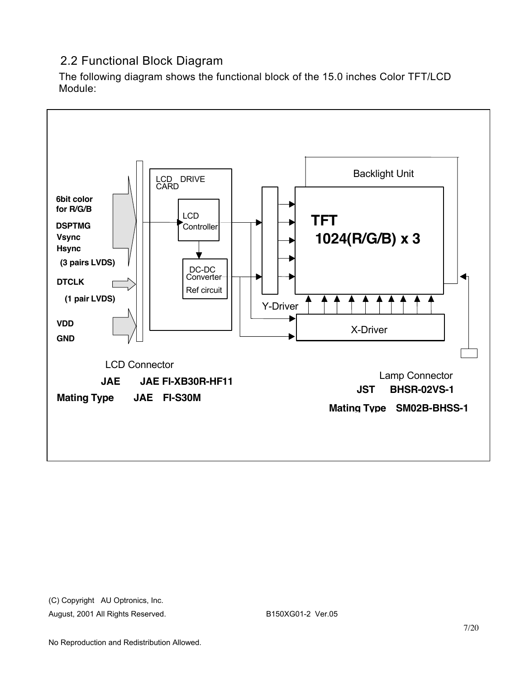### 2.2 Functional Block Diagram

The following diagram shows the functional block of the 15.0 inches Color TFT/LCD Module:

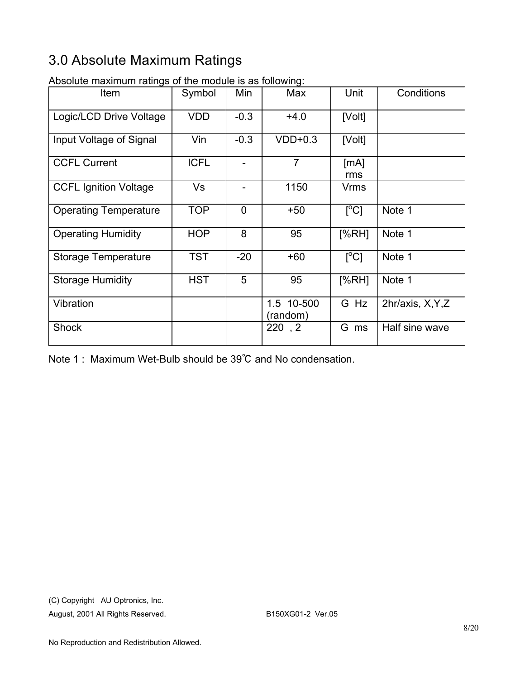# 3.0 Absolute Maximum Ratings

| Item                         | Symbol      | Min            | Max                    | Unit                            | Conditions        |
|------------------------------|-------------|----------------|------------------------|---------------------------------|-------------------|
| Logic/LCD Drive Voltage      | <b>VDD</b>  | $-0.3$         | $+4.0$                 | [Volt]                          |                   |
| Input Voltage of Signal      | Vin         | $-0.3$         | $VDD+0.3$              | [Volt]                          |                   |
| <b>CCFL Current</b>          | <b>ICFL</b> | $\overline{a}$ | $\overline{7}$         | [mA]<br>rms                     |                   |
| <b>CCFL Ignition Voltage</b> | <b>Vs</b>   |                | 1150                   | <b>Vrms</b>                     |                   |
| <b>Operating Temperature</b> | <b>TOP</b>  | $\mathbf 0$    | $+50$                  | $\lceil{^{\circ}C}\rceil$       | Note 1            |
| <b>Operating Humidity</b>    | <b>HOP</b>  | 8              | 95                     | [%RH]                           | Note 1            |
| Storage Temperature          | <b>TST</b>  | $-20$          | $+60$                  | $\Gamma^{\circ}$ C <sub>1</sub> | Note 1            |
| <b>Storage Humidity</b>      | <b>HST</b>  | 5              | 95                     | [%RH]                           | Note 1            |
| Vibration                    |             |                | 1.5 10-500<br>(random) | G Hz                            | 2hr/axis, X, Y, Z |
| <b>Shock</b>                 |             |                | 220, 2                 | G ms                            | Half sine wave    |

Absolute maximum ratings of the module is as following:

Note 1 : Maximum Wet-Bulb should be 39℃ and No condensation.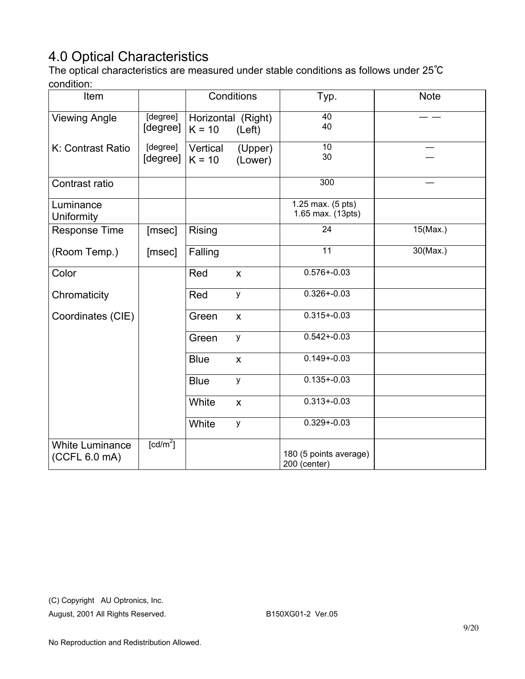# 4.0 Optical Characteristics

The optical characteristics are measured under stable conditions as follows under 25℃ condition:

| Item                                    |                                     |                                | Conditions                | Typ.                                   | <b>Note</b> |
|-----------------------------------------|-------------------------------------|--------------------------------|---------------------------|----------------------------------------|-------------|
| <b>Viewing Angle</b>                    | [degree]<br>[degree]                | Horizontal (Right)<br>$K = 10$ | (Left)                    | 40<br>40                               |             |
| K: Contrast Ratio                       | [degree]<br>[degree]                | Vertical<br>$K = 10$           | (Upper)<br>(Lower)        | 10<br>30                               |             |
| Contrast ratio                          |                                     |                                |                           | 300                                    |             |
| Luminance<br>Uniformity                 |                                     |                                |                           | 1.25 max. (5 pts)<br>1.65 max. (13pts) |             |
| <b>Response Time</b>                    | [msec]                              | Rising                         |                           | 24                                     | $15$ (Max.) |
| (Room Temp.)                            | [msec]                              | Falling                        |                           | 11                                     | $30$ (Max.) |
| Color                                   |                                     | Red                            | $\boldsymbol{\mathsf{X}}$ | $0.576 + 0.03$                         |             |
| Chromaticity                            |                                     | Red                            | y                         | $0.326 + 0.03$                         |             |
| Coordinates (CIE)                       |                                     | Green                          | $\mathsf{x}$              | $0.315 + 0.03$                         |             |
|                                         |                                     | Green                          | У                         | $0.542 + 0.03$                         |             |
|                                         |                                     | <b>Blue</b>                    | X                         | $0.149 + 0.03$                         |             |
|                                         |                                     | <b>Blue</b>                    | у                         | $0.135 + 0.03$                         |             |
|                                         |                                     | White                          | $\boldsymbol{\mathsf{X}}$ | $0.313 + 0.03$                         |             |
|                                         |                                     | White                          | у                         | $0.329 + 0.03$                         |             |
| <b>White Luminance</b><br>(CCFL 6.0 mA) | $\lceil$ cd/m <sup>2</sup> $\rceil$ |                                |                           | 180 (5 points average)<br>200 (center) |             |

(C) Copyright AU Optronics, Inc.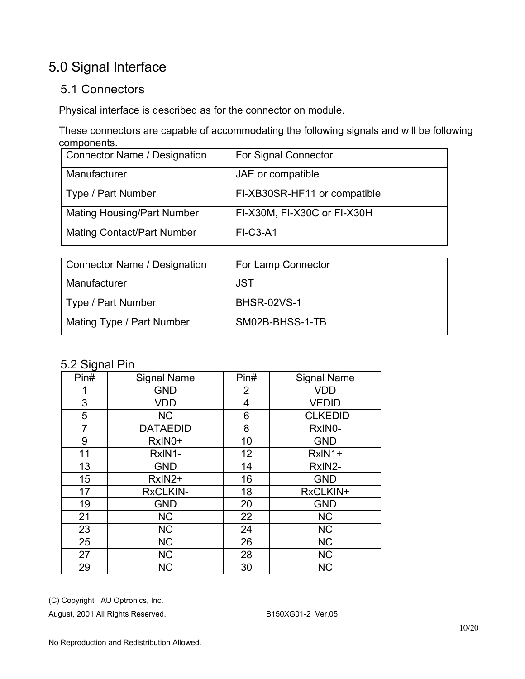# 5.0 Signal Interface

### 5.1 Connectors

Physical interface is described as for the connector on module.

These connectors are capable of accommodating the following signals and will be following components.

| <b>Connector Name / Designation</b> | For Signal Connector         |
|-------------------------------------|------------------------------|
| Manufacturer                        | JAE or compatible            |
| Type / Part Number                  | FI-XB30SR-HF11 or compatible |
| <b>Mating Housing/Part Number</b>   | FI-X30M, FI-X30C or FI-X30H  |
| <b>Mating Contact/Part Number</b>   | <b>FI-C3-A1</b>              |

| Connector Name / Designation | For Lamp Connector |
|------------------------------|--------------------|
| Manufacturer                 | <b>JST</b>         |
| Type / Part Number           | <b>BHSR-02VS-1</b> |
| Mating Type / Part Number    | SM02B-BHSS-1-TB    |

### 5.2 Signal Pin

| ັ<br>Pin# | <b>Signal Name</b> | Pin#           | <b>Signal Name</b> |
|-----------|--------------------|----------------|--------------------|
|           | <b>GND</b>         | $\overline{2}$ | <b>VDD</b>         |
| 3         | <b>VDD</b>         | 4              | <b>VEDID</b>       |
| 5         | <b>NC</b>          | 6              | <b>CLKEDID</b>     |
| 7         | <b>DATAEDID</b>    | 8              | RxIN0-             |
| 9         | RxIN0+             | 10             | <b>GND</b>         |
| 11        | RxIN1-             | 12             | RxIN1+             |
| 13        | <b>GND</b>         | 14             | RxIN2-             |
| 15        | RxIN2+             | 16             | <b>GND</b>         |
| 17        | <b>RxCLKIN-</b>    | 18             | RxCLKIN+           |
| 19        | <b>GND</b>         | 20             | <b>GND</b>         |
| 21        | <b>NC</b>          | 22             | <b>NC</b>          |
| 23        | <b>NC</b>          | 24             | <b>NC</b>          |
| 25        | <b>NC</b>          | 26             | <b>NC</b>          |
| 27        | <b>NC</b>          | 28             | <b>NC</b>          |
| 29        | <b>NC</b>          | 30             | <b>NC</b>          |

(C) Copyright AU Optronics, Inc.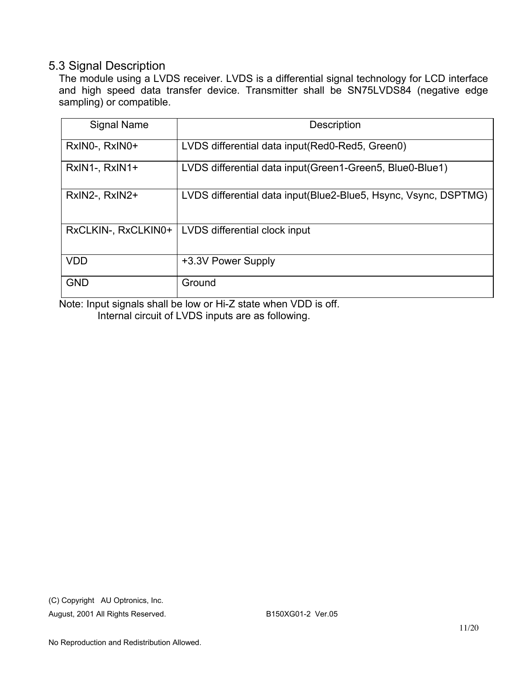#### 5.3 Signal Description

The module using a LVDS receiver. LVDS is a differential signal technology for LCD interface and high speed data transfer device. Transmitter shall be SN75LVDS84 (negative edge sampling) or compatible.

| <b>Signal Name</b>  | <b>Description</b>                                               |
|---------------------|------------------------------------------------------------------|
| RxINO-, RxINO+      | LVDS differential data input (Red0-Red5, Green0)                 |
| RxIN1-, RxIN1+      | LVDS differential data input (Green1-Green5, Blue0-Blue1)        |
| RxIN2-, RxIN2+      | LVDS differential data input (Blue2-Blue5, Hsync, Vsync, DSPTMG) |
| RxCLKIN-, RxCLKIN0+ | LVDS differential clock input                                    |
| <b>VDD</b>          | +3.3V Power Supply                                               |
| <b>GND</b>          | Ground                                                           |

Note: Input signals shall be low or Hi-Z state when VDD is off. Internal circuit of LVDS inputs are as following.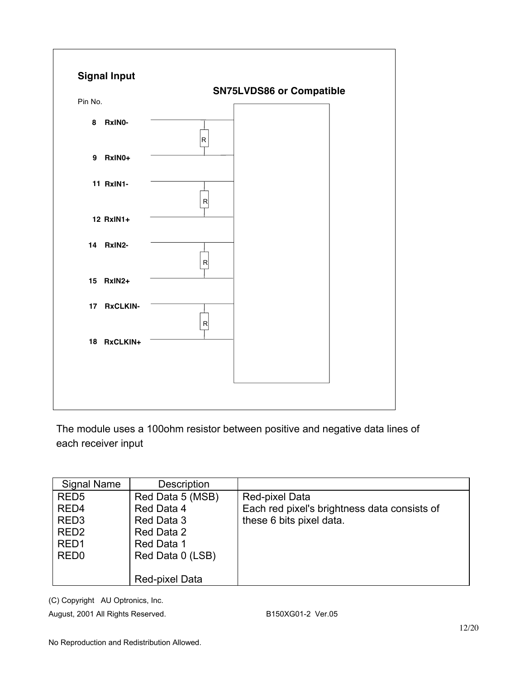

The module uses a 100ohm resistor between positive and negative data lines of each receiver input

| <b>Signal Name</b> | <b>Description</b> |                                              |
|--------------------|--------------------|----------------------------------------------|
| RED <sub>5</sub>   | Red Data 5 (MSB)   | Red-pixel Data                               |
| RED <sub>4</sub>   | Red Data 4         | Each red pixel's brightness data consists of |
| RED <sub>3</sub>   | Red Data 3         | these 6 bits pixel data.                     |
| RED <sub>2</sub>   | Red Data 2         |                                              |
| RED <sub>1</sub>   | Red Data 1         |                                              |
| RED <sub>0</sub>   | Red Data 0 (LSB)   |                                              |
|                    |                    |                                              |
|                    | Red-pixel Data     |                                              |

(C) Copyright AU Optronics, Inc.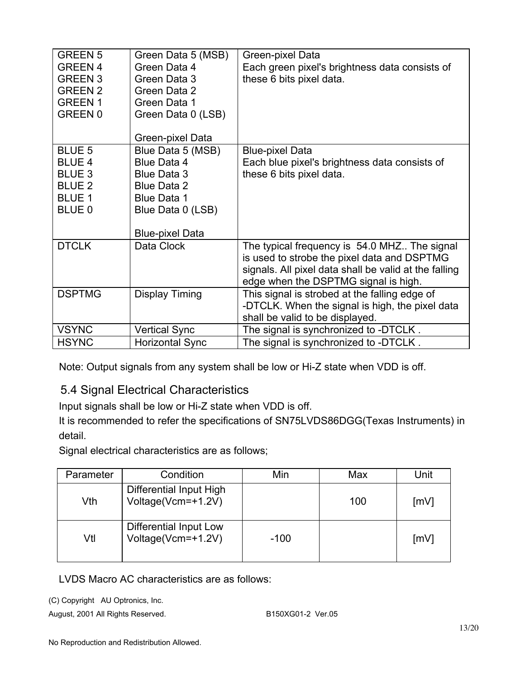| <b>GREEN 5</b><br><b>GREEN 4</b><br><b>GREEN 3</b><br><b>GREEN 2</b><br><b>GREEN1</b><br><b>GREEN 0</b> | Green Data 5 (MSB)<br>Green Data 4<br>Green Data 3<br>Green Data 2<br>Green Data 1<br>Green Data 0 (LSB)  | Green-pixel Data<br>Each green pixel's brightness data consists of<br>these 6 bits pixel data.                                               |
|---------------------------------------------------------------------------------------------------------|-----------------------------------------------------------------------------------------------------------|----------------------------------------------------------------------------------------------------------------------------------------------|
|                                                                                                         | Green-pixel Data                                                                                          |                                                                                                                                              |
| <b>BLUE 5</b><br><b>BLUE 4</b><br><b>BLUE 3</b><br><b>BLUE 2</b><br><b>BLUE 1</b><br>BLUE 0             | Blue Data 5 (MSB)<br>Blue Data 4<br>Blue Data 3<br>Blue Data 2<br><b>Blue Data 1</b><br>Blue Data 0 (LSB) | <b>Blue-pixel Data</b><br>Each blue pixel's brightness data consists of<br>these 6 bits pixel data.                                          |
| <b>DTCLK</b>                                                                                            | <b>Blue-pixel Data</b><br>Data Clock                                                                      | The typical frequency is 54.0 MHZ The signal                                                                                                 |
|                                                                                                         |                                                                                                           | is used to strobe the pixel data and DSPTMG<br>signals. All pixel data shall be valid at the falling<br>edge when the DSPTMG signal is high. |
| <b>DSPTMG</b>                                                                                           | Display Timing                                                                                            | This signal is strobed at the falling edge of<br>-DTCLK. When the signal is high, the pixel data<br>shall be valid to be displayed.          |
| <b>VSYNC</b>                                                                                            | <b>Vertical Sync</b>                                                                                      | The signal is synchronized to -DTCLK.                                                                                                        |
| <b>HSYNC</b>                                                                                            | <b>Horizontal Sync</b>                                                                                    | The signal is synchronized to -DTCLK.                                                                                                        |

Note: Output signals from any system shall be low or Hi-Z state when VDD is off.

### 5.4 Signal Electrical Characteristics

Input signals shall be low or Hi-Z state when VDD is off.

It is recommended to refer the specifications of SN75LVDS86DGG(Texas Instruments) in detail.

Signal electrical characteristics are as follows;

| Parameter | Condition                                     | Min    | Max | Unit |
|-----------|-----------------------------------------------|--------|-----|------|
| Vth       | Differential Input High<br>Voltage(Vcm=+1.2V) |        | 100 | [mV] |
| Vtl       | Differential Input Low<br>Voltage(Vcm=+1.2V)  | $-100$ |     | [mV] |

LVDS Macro AC characteristics are as follows:

(C) Copyright AU Optronics, Inc.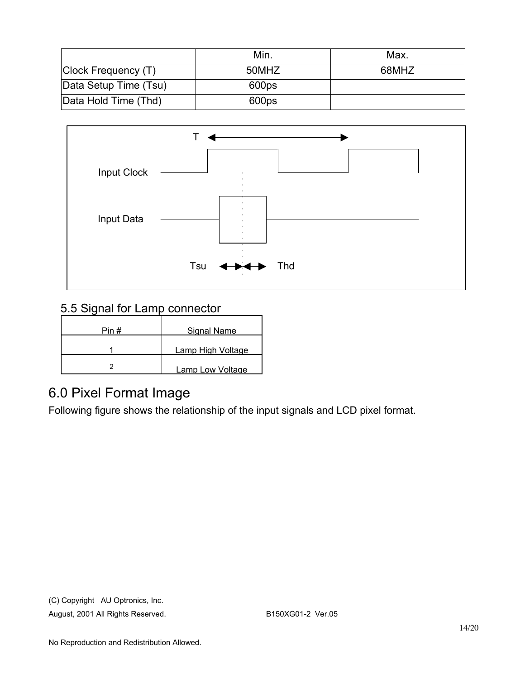|                       | Min.  | Max.  |
|-----------------------|-------|-------|
| Clock Frequency (T)   | 50MHZ | 68MHZ |
| Data Setup Time (Tsu) | 600ps |       |
| Data Hold Time (Thd)  | 600ps |       |



## 5.5 Signal for Lamp connector

| Pin# | Signal Name       |
|------|-------------------|
|      | Lamp High Voltage |
|      | Lamp Low Voltage  |

## 6.0 Pixel Format Image

Following figure shows the relationship of the input signals and LCD pixel format.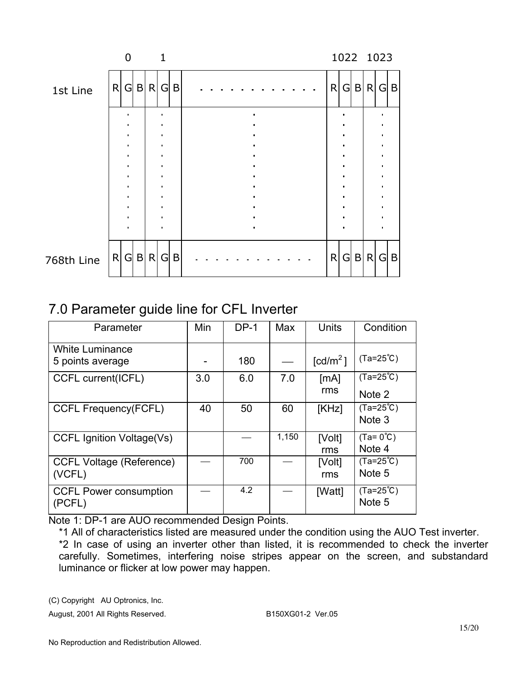|            |   | U              |     |         | 1                                   |              |  |  |  |  |  |   |     | 1022 1023     |             |
|------------|---|----------------|-----|---------|-------------------------------------|--------------|--|--|--|--|--|---|-----|---------------|-------------|
| 1st Line   | R |                |     | G B R G |                                     | B            |  |  |  |  |  | R |     | $G$ B R $G$ B |             |
|            |   |                |     |         | $\bullet$                           |              |  |  |  |  |  |   |     |               |             |
|            |   | ٠              |     |         | $\bullet$                           |              |  |  |  |  |  |   |     |               |             |
|            |   |                |     |         | $\bullet$<br>$\bullet$<br>$\bullet$ |              |  |  |  |  |  |   |     |               |             |
|            |   |                |     |         | $\bullet$<br>$\bullet$              |              |  |  |  |  |  |   |     |               |             |
|            |   |                |     |         |                                     |              |  |  |  |  |  |   |     |               |             |
|            |   | $\blacksquare$ |     |         | $\bullet$                           |              |  |  |  |  |  |   |     |               |             |
| 768th Line | R |                | G B |         | R G                                 | $\mathsf{B}$ |  |  |  |  |  | R | G B | R G           | $\mathsf B$ |

# 7.0 Parameter guide line for CFL Inverter

| Parameter                                  | Min | $DP-1$ | Max   | Units                | Condition                     |
|--------------------------------------------|-----|--------|-------|----------------------|-------------------------------|
| <b>White Luminance</b><br>5 points average |     | 180    |       | [cd/m <sup>2</sup> ] | $(Ta=25^{\circ}C)$            |
| CCFL current(ICFL)                         | 3.0 | 6.0    | 7.0   | [mA]<br>rms          | $(Ta=25^{\circ}C)$<br>Note 2  |
| <b>CCFL Frequency(FCFL)</b>                | 40  | 50     | 60    | [KHz]                | $(Ta=25^{\circ}C)$<br>Note 3  |
| <b>CCFL Ignition Voltage(Vs)</b>           |     |        | 1,150 | [Volt]<br>rms        | $(Ta = 0^{\circ}C)$<br>Note 4 |
| <b>CCFL Voltage (Reference)</b><br>(VCFL)  |     | 700    |       | [Volt]<br>rms        | $(Ta=25^{\circ}C)$<br>Note 5  |
| <b>CCFL Power consumption</b><br>(PCFL)    |     | 4.2    |       | [Watt]               | $(Ta=25^{\circ}C)$<br>Note 5  |

Note 1: DP-1 are AUO recommended Design Points.

\*1 All of characteristics listed are measured under the condition using the AUO Test inverter. \*2 In case of using an inverter other than listed, it is recommended to check the inverter carefully. Sometimes, interfering noise stripes appear on the screen, and substandard luminance or flicker at low power may happen.

(C) Copyright AU Optronics, Inc.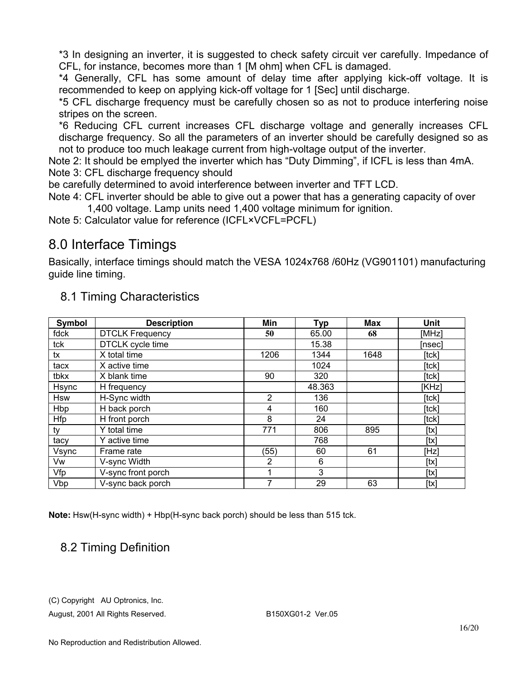\*3 In designing an inverter, it is suggested to check safety circuit ver carefully. Impedance of CFL, for instance, becomes more than 1 [M ohm] when CFL is damaged.

\*4 Generally, CFL has some amount of delay time after applying kick-off voltage. It is recommended to keep on applying kick-off voltage for 1 [Sec] until discharge.

\*5 CFL discharge frequency must be carefully chosen so as not to produce interfering noise stripes on the screen.

\*6 Reducing CFL current increases CFL discharge voltage and generally increases CFL discharge frequency. So all the parameters of an inverter should be carefully designed so as not to produce too much leakage current from high-voltage output of the inverter.

Note 2: It should be emplyed the inverter which has "Duty Dimming", if ICFL is less than 4mA. Note 3: CFL discharge frequency should

be carefully determined to avoid interference between inverter and TFT LCD.

Note 4: CFL inverter should be able to give out a power that has a generating capacity of over 1,400 voltage. Lamp units need 1,400 voltage minimum for ignition.

Note 5: Calculator value for reference (ICFL×VCFL=PCFL)

## 8.0 Interface Timings

Basically, interface timings should match the VESA 1024x768 /60Hz (VG901101) manufacturing guide line timing.

| Symbol     | <b>Description</b>     | Min            | <b>Typ</b> | Max  | Unit   |
|------------|------------------------|----------------|------------|------|--------|
| fdck       | <b>DTCLK Frequency</b> | 50             | 65.00      | 68   | [MHz]  |
| tck        | DTCLK cycle time       |                | 15.38      |      | [nsec] |
| tx         | X total time           | 1206           | 1344       | 1648 | [tck]  |
| tacx       | X active time          |                | 1024       |      | [tck]  |
| tbkx       | X blank time           | 90             | 320        |      | [tck]  |
| Hsync      | H frequency            |                | 48.363     |      | [KHz]  |
| <b>Hsw</b> | H-Sync width           | $\overline{2}$ | 136        |      | [tck]  |
| Hbp        | H back porch           | 4              | 160        |      | [tck]  |
| Hfp        | H front porch          | 8              | 24         |      | [tck]  |
| ty         | Y total time           | 771            | 806        | 895  | [tx]   |
| tacy       | Y active time          |                | 768        |      | [tx]   |
| Vsync      | Frame rate             | (55)           | 60         | 61   | [Hz]   |
| Vw         | V-sync Width           | 2              | 6          |      | [tx]   |
| Vfp        | V-sync front porch     |                | 3          |      | [tx]   |
| Vbp        | V-sync back porch      | 7              | 29         | 63   | [tx]   |

### 8.1 Timing Characteristics

**Note:** Hsw(H-sync width) + Hbp(H-sync back porch) should be less than 515 tck.

### 8.2 Timing Definition

(C) Copyright AU Optronics, Inc.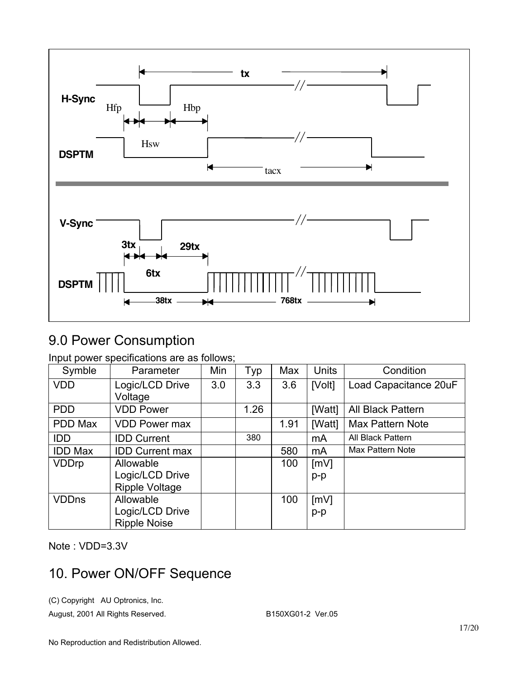

## 9.0 Power Consumption

Input power specifications are as follows;

| Symble         | Parameter              | Min | Typ  | Max  | <b>Units</b> | Condition             |
|----------------|------------------------|-----|------|------|--------------|-----------------------|
| <b>VDD</b>     | Logic/LCD Drive        | 3.0 | 3.3  | 3.6  | [Volt]       | Load Capacitance 20uF |
|                | Voltage                |     |      |      |              |                       |
| <b>PDD</b>     | <b>VDD Power</b>       |     | 1.26 |      | [Watt]       | All Black Pattern     |
| PDD Max        | <b>VDD Power max</b>   |     |      | 1.91 | [Watt]       | Max Pattern Note      |
| <b>IDD</b>     | <b>IDD Current</b>     |     | 380  |      | mA           | All Black Pattern     |
| <b>IDD Max</b> | <b>IDD Current max</b> |     |      | 580  | mA           | Max Pattern Note      |
| <b>VDDrp</b>   | Allowable              |     |      | 100  | [mV]         |                       |
|                | Logic/LCD Drive        |     |      |      | $p-p$        |                       |
|                | <b>Ripple Voltage</b>  |     |      |      |              |                       |
| <b>VDDns</b>   | Allowable              |     |      | 100  | [mV]         |                       |
|                | Logic/LCD Drive        |     |      |      | $p-p$        |                       |
|                | <b>Ripple Noise</b>    |     |      |      |              |                       |

Note : VDD=3.3V

## 10. Power ON/OFF Sequence

(C) Copyright AU Optronics, Inc.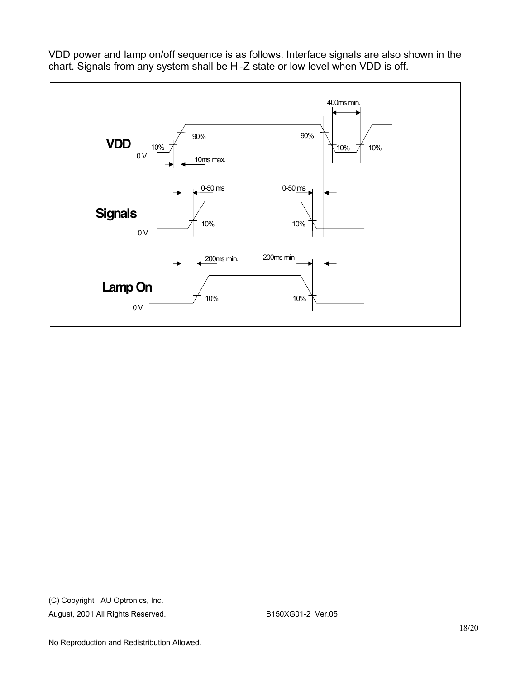

VDD power and lamp on/off sequence is as follows. Interface signals are also shown in the chart. Signals from any system shall be Hi-Z state or low level when VDD is off.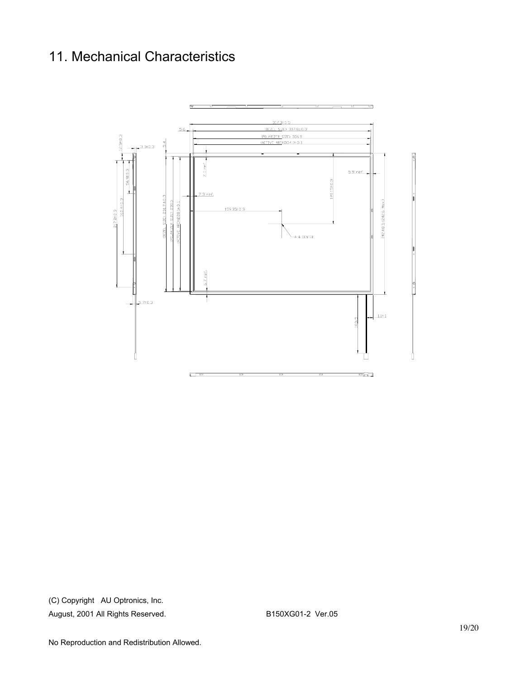# 11. Mechanical Characteristics